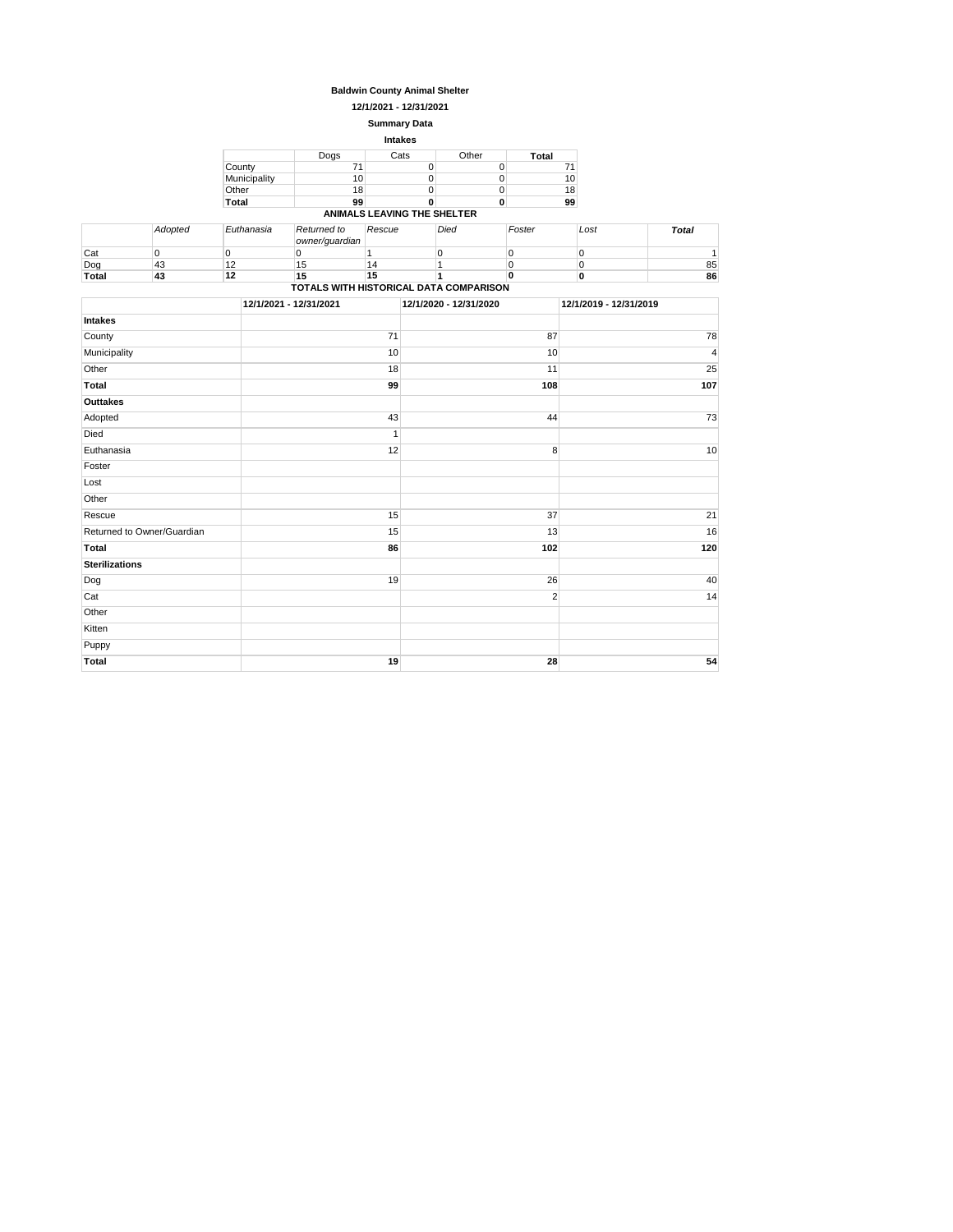#### **Baldwin County Animal Shelter**

**12/1/2021 - 12/31/2021**

#### **Summary Data Intakes**

|              |      | <b>HIGRS</b>                |       |       |
|--------------|------|-----------------------------|-------|-------|
|              | Dogs | Cats                        | Other | Total |
| County       | 71   |                             |       |       |
| Municipality | 10   |                             |       | 10    |
| Other        | 18   |                             |       | 18    |
| <b>Total</b> | 99   |                             |       | 99    |
|              |      | ANIMALS LEAVING THE SHELTER |       |       |

|                                        | Adopted | Euthanasia | Returned to<br>owner/quardian | Rescue | Died | Foster | Lost | <b>Total</b> |
|----------------------------------------|---------|------------|-------------------------------|--------|------|--------|------|--------------|
| Cat                                    |         |            |                               |        |      |        |      |              |
| Dog                                    | 43      |            | 15                            | 14     |      |        |      | 85           |
| Total                                  | 43      | 12         | 15                            | 15     |      |        |      | 86           |
| TOTALS WITH HISTORICAL DATA COMPARISON |         |            |                               |        |      |        |      |              |

|                            | 12/1/2021 - 12/31/2021 | 12/1/2020 - 12/31/2020 | 12/1/2019 - 12/31/2019 |
|----------------------------|------------------------|------------------------|------------------------|
| Intakes                    |                        |                        |                        |
| County                     | 71                     | 87                     | 78                     |
| Municipality               | 10                     | 10                     | $\overline{4}$         |
| Other                      | 18                     | 11                     | 25                     |
| Total                      | 99                     | 108                    | 107                    |
| Outtakes                   |                        |                        |                        |
| Adopted                    | 43                     | 44                     | 73                     |
| Died                       | $\mathbf{1}$           |                        |                        |
| Euthanasia                 | 12                     | 8                      | 10                     |
| Foster                     |                        |                        |                        |
| Lost                       |                        |                        |                        |
| Other                      |                        |                        |                        |
| Rescue                     | 15                     | 37                     | 21                     |
| Returned to Owner/Guardian | 15                     | 13                     | 16                     |
| Total                      | 86                     | 102                    | 120                    |
| <b>Sterilizations</b>      |                        |                        |                        |
| Dog                        | 19                     | 26                     | 40                     |
| Cat                        |                        | $\overline{2}$         | 14                     |
| Other                      |                        |                        |                        |
| Kitten                     |                        |                        |                        |
| Puppy                      |                        |                        |                        |
| <b>Total</b>               | 19                     | 28                     | 54                     |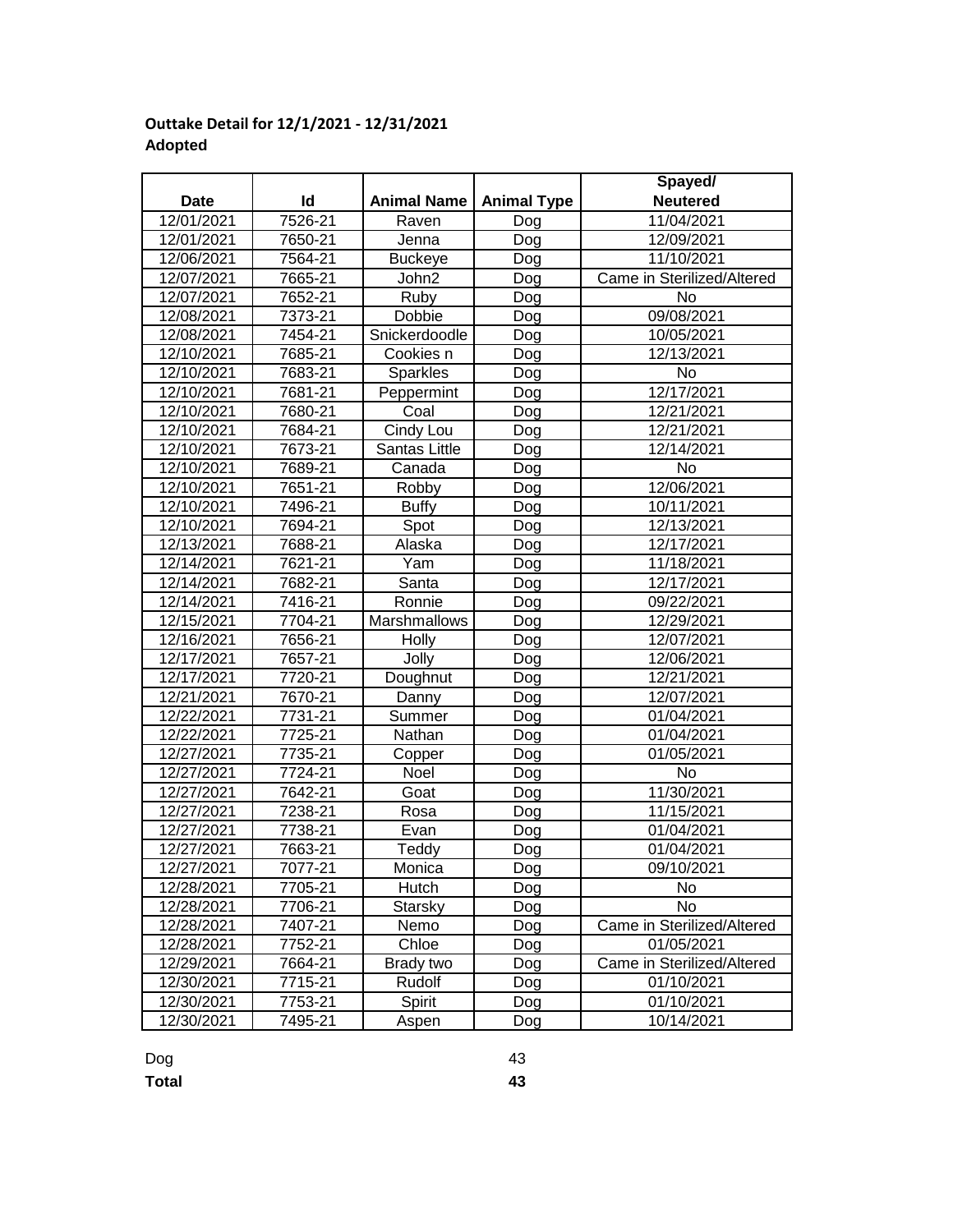# **Outtake Detail for 12/1/2021 - 12/31/2021 Adopted**

|             |         |                    |                    | Spayed/                    |
|-------------|---------|--------------------|--------------------|----------------------------|
| <b>Date</b> | Id      | <b>Animal Name</b> | <b>Animal Type</b> | <b>Neutered</b>            |
| 12/01/2021  | 7526-21 | Raven              | Dog                | 11/04/2021                 |
| 12/01/2021  | 7650-21 | Jenna              | Dog                | 12/09/2021                 |
| 12/06/2021  | 7564-21 | <b>Buckeye</b>     | Dog                | 11/10/2021                 |
| 12/07/2021  | 7665-21 | John2              | Dog                | Came in Sterilized/Altered |
| 12/07/2021  | 7652-21 | Ruby               | Dog                | No                         |
| 12/08/2021  | 7373-21 | Dobbie             | Dog                | 09/08/2021                 |
| 12/08/2021  | 7454-21 | Snickerdoodle      | Dog                | 10/05/2021                 |
| 12/10/2021  | 7685-21 | Cookies n          | Dog                | 12/13/2021                 |
| 12/10/2021  | 7683-21 | Sparkles           | Dog                | No                         |
| 12/10/2021  | 7681-21 | Peppermint         | Dog                | 12/17/2021                 |
| 12/10/2021  | 7680-21 | Coal               | Dog                | 12/21/2021                 |
| 12/10/2021  | 7684-21 | Cindy Lou          | Dog                | 12/21/2021                 |
| 12/10/2021  | 7673-21 | Santas Little      | Dog                | 12/14/2021                 |
| 12/10/2021  | 7689-21 | Canada             | Dog                | No                         |
| 12/10/2021  | 7651-21 | Robby              | Dog                | 12/06/2021                 |
| 12/10/2021  | 7496-21 | <b>Buffy</b>       | Dog                | 10/11/2021                 |
| 12/10/2021  | 7694-21 | Spot               | Dog                | 12/13/2021                 |
| 12/13/2021  | 7688-21 | Alaska             | Dog                | 12/17/2021                 |
| 12/14/2021  | 7621-21 | Yam                | Dog                | 11/18/2021                 |
| 12/14/2021  | 7682-21 | Santa              | Dog                | 12/17/2021                 |
| 12/14/2021  | 7416-21 | Ronnie             | Dog                | 09/22/2021                 |
| 12/15/2021  | 7704-21 | Marshmallows       | Dog                | 12/29/2021                 |
| 12/16/2021  | 7656-21 | Holly              | Dog                | 12/07/2021                 |
| 12/17/2021  | 7657-21 | Jolly              | Dog                | 12/06/2021                 |
| 12/17/2021  | 7720-21 | Doughnut           | Dog                | 12/21/2021                 |
| 12/21/2021  | 7670-21 | Danny              | Dog                | 12/07/2021                 |
| 12/22/2021  | 7731-21 | Summer             | Dog                | 01/04/2021                 |
| 12/22/2021  | 7725-21 | Nathan             | Dog                | 01/04/2021                 |
| 12/27/2021  | 7735-21 | Copper             | Dog                | 01/05/2021                 |
| 12/27/2021  | 7724-21 | Noel               | Dog                | No                         |
| 12/27/2021  | 7642-21 | Goat               | Dog                | 11/30/2021                 |
| 12/27/2021  | 7238-21 | Rosa               | Dog                | 11/15/2021                 |
| 12/27/2021  | 7738-21 | Evan               | Dog                | 01/04/2021                 |
| 12/27/2021  | 7663-21 | Teddy              | Dog                | 01/04/2021                 |
| 12/27/2021  | 7077-21 | Monica             | Dog                | 09/10/2021                 |
| 12/28/2021  | 7705-21 | Hutch              | Dog                | No.                        |
| 12/28/2021  | 7706-21 | Starsky            | Dog                | No                         |
| 12/28/2021  | 7407-21 | Nemo               | Dog                | Came in Sterilized/Altered |
| 12/28/2021  | 7752-21 | Chloe              | Dog                | 01/05/2021                 |
| 12/29/2021  | 7664-21 | Brady two          | Dog                | Came in Sterilized/Altered |
| 12/30/2021  | 7715-21 | Rudolf             | Dog                | 01/10/2021                 |
| 12/30/2021  | 7753-21 | Spirit             | Dog                | 01/10/2021                 |
| 12/30/2021  | 7495-21 | Aspen              | Dog                | 10/14/2021                 |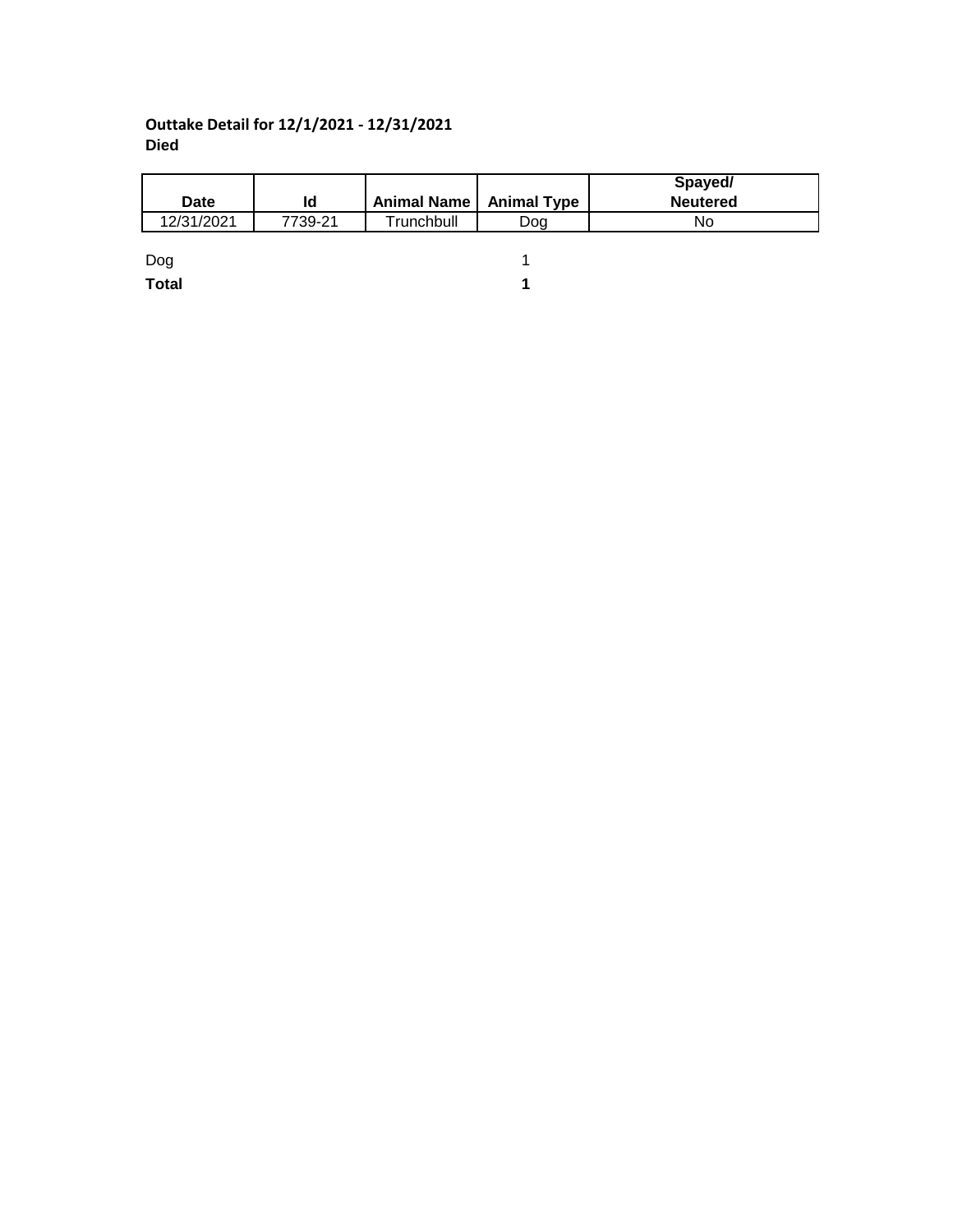# **Outtake Detail for 12/1/2021 - 12/31/2021 Died**

|              |         |                           |     | Spayed/         |
|--------------|---------|---------------------------|-----|-----------------|
| <b>Date</b>  | ld      | Animal Name   Animal Type |     | <b>Neutered</b> |
| 12/31/2021   | 7739-21 | Trunchbull                | Dog | No              |
|              |         |                           |     |                 |
| Dog          |         |                           |     |                 |
| <b>Total</b> |         |                           |     |                 |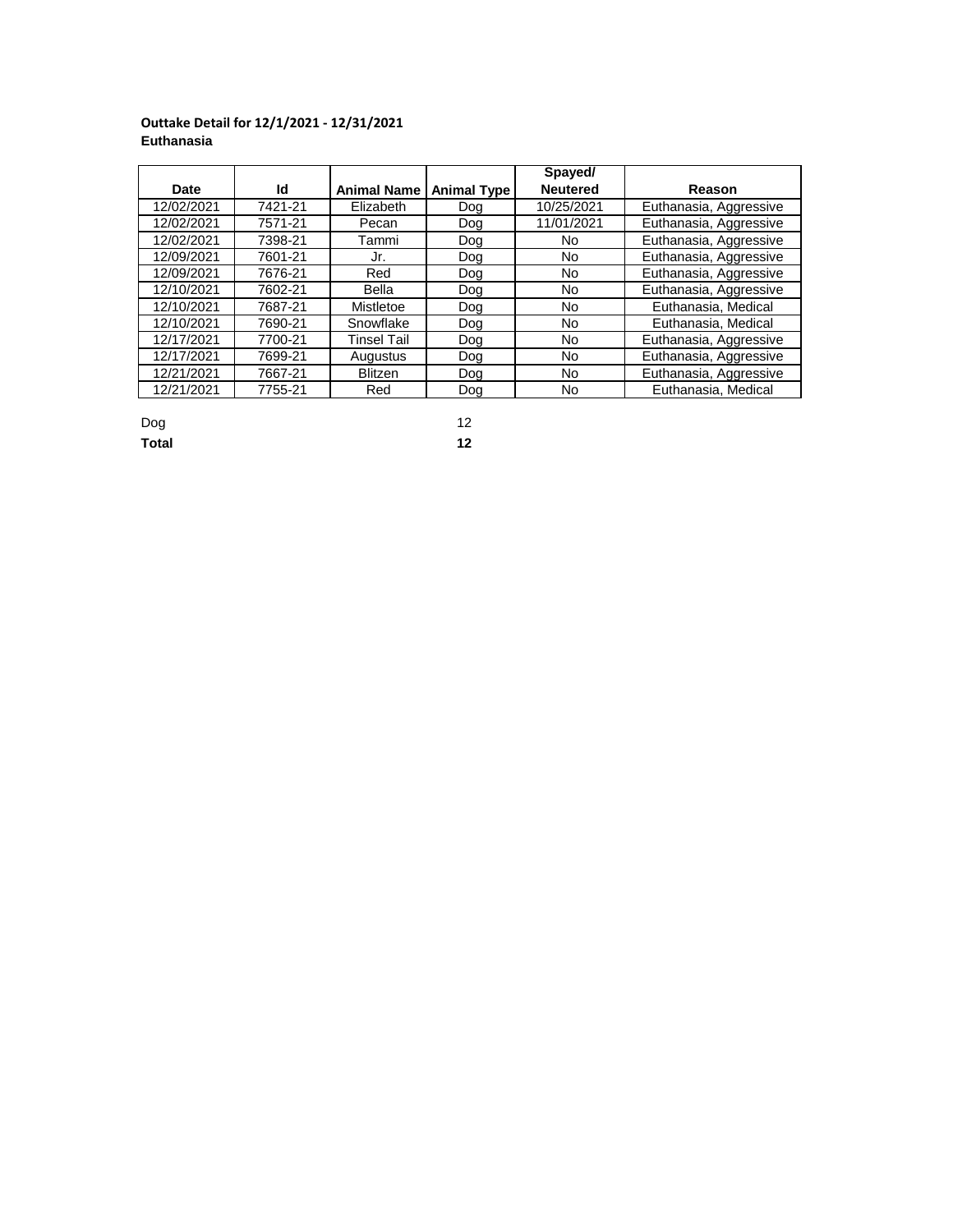## **Outtake Detail for 12/1/2021 - 12/31/2021 Euthanasia**

|            |         |                    |                    | Spayed/         |                        |
|------------|---------|--------------------|--------------------|-----------------|------------------------|
| Date       | ld      | <b>Animal Name</b> | <b>Animal Type</b> | <b>Neutered</b> | Reason                 |
| 12/02/2021 | 7421-21 | Elizabeth          | Dog                | 10/25/2021      | Euthanasia, Aggressive |
| 12/02/2021 | 7571-21 | Pecan              | Dog                | 11/01/2021      | Euthanasia, Aggressive |
| 12/02/2021 | 7398-21 | Tammi              | Dog                | No              | Euthanasia, Aggressive |
| 12/09/2021 | 7601-21 | Jr.                | Dog                | No              | Euthanasia, Aggressive |
| 12/09/2021 | 7676-21 | Red                | Dog                | No              | Euthanasia, Aggressive |
| 12/10/2021 | 7602-21 | Bella              | Dog                | No              | Euthanasia, Aggressive |
| 12/10/2021 | 7687-21 | Mistletoe          | Dog                | No              | Euthanasia, Medical    |
| 12/10/2021 | 7690-21 | Snowflake          | Dog                | No              | Euthanasia, Medical    |
| 12/17/2021 | 7700-21 | Tinsel Tail        | Dog                | No.             | Euthanasia, Aggressive |
| 12/17/2021 | 7699-21 | Augustus           | Dog                | No              | Euthanasia, Aggressive |
| 12/21/2021 | 7667-21 | <b>Blitzen</b>     | Dog                | No              | Euthanasia, Aggressive |
| 12/21/2021 | 7755-21 | Red                | Dog                | No              | Euthanasia, Medical    |

| Dog   | 12 |
|-------|----|
| Total | 12 |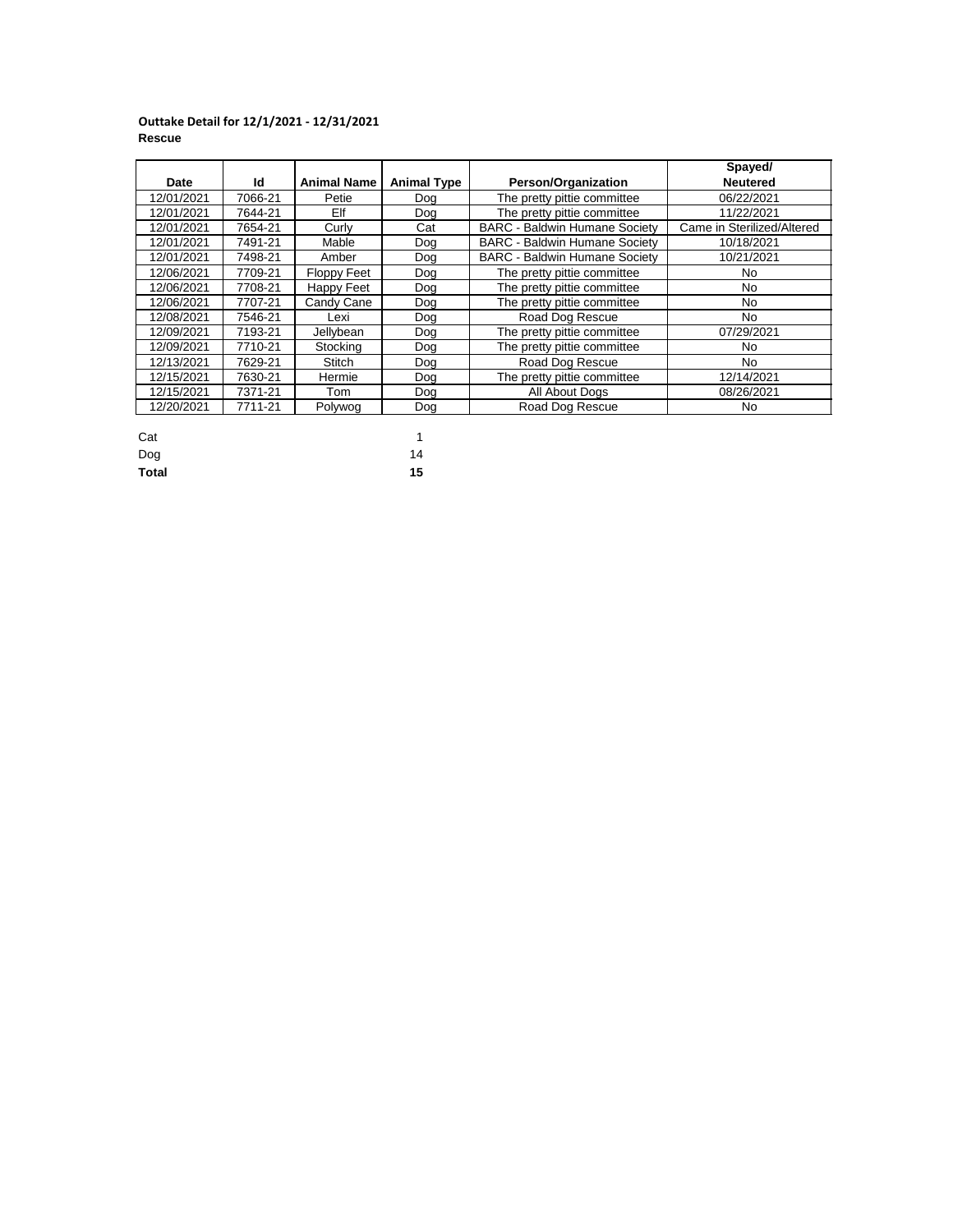### **Outtake Detail for 12/1/2021 - 12/31/2021 Rescue**

|            |         |                    |                    |                                      | Spayed/                    |
|------------|---------|--------------------|--------------------|--------------------------------------|----------------------------|
| Date       | ld      | <b>Animal Name</b> | <b>Animal Type</b> | <b>Person/Organization</b>           | <b>Neutered</b>            |
| 12/01/2021 | 7066-21 | Petie              | Dog                | The pretty pittie committee          | 06/22/2021                 |
| 12/01/2021 | 7644-21 | Elf                | Dog                | The pretty pittie committee          | 11/22/2021                 |
| 12/01/2021 | 7654-21 | Curly              | Cat                | <b>BARC - Baldwin Humane Society</b> | Came in Sterilized/Altered |
| 12/01/2021 | 7491-21 | Mable              | Doa                | <b>BARC - Baldwin Humane Society</b> | 10/18/2021                 |
| 12/01/2021 | 7498-21 | Amber              | Dog                | <b>BARC - Baldwin Humane Society</b> | 10/21/2021                 |
| 12/06/2021 | 7709-21 | <b>Floppy Feet</b> | Dog                | The pretty pittie committee          | No                         |
| 12/06/2021 | 7708-21 | Happy Feet         | Dog                | The pretty pittie committee          | No.                        |
| 12/06/2021 | 7707-21 | Candy Cane         | Dog                | The pretty pittie committee          | No                         |
| 12/08/2021 | 7546-21 | Lexi               | Dog                | Road Dog Rescue                      | No                         |
| 12/09/2021 | 7193-21 | Jellybean          | Dog                | The pretty pittie committee          | 07/29/2021                 |
| 12/09/2021 | 7710-21 | Stocking           | Doa                | The pretty pittie committee          | No                         |
| 12/13/2021 | 7629-21 | <b>Stitch</b>      | Dog                | Road Dog Rescue                      | No.                        |
| 12/15/2021 | 7630-21 | Hermie             | Dog                | The pretty pittie committee          | 12/14/2021                 |
| 12/15/2021 | 7371-21 | Tom                | Dog                | All About Dogs                       | 08/26/2021                 |
| 12/20/2021 | 7711-21 | Polywog            | Dog                | Road Dog Rescue                      | No                         |

| Cat          | 1  |
|--------------|----|
| Dog          | 14 |
| <b>Total</b> | 15 |